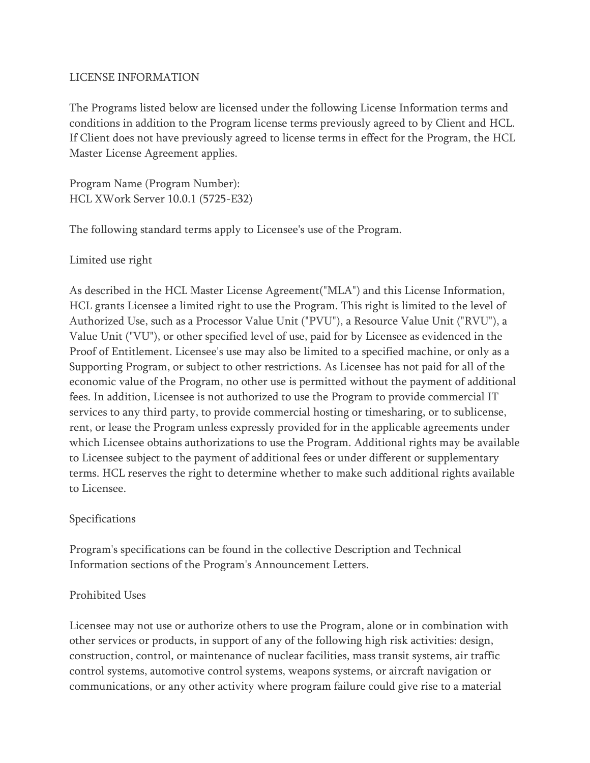### LICENSE INFORMATION

The Programs listed below are licensed under the following License Information terms and conditions in addition to the Program license terms previously agreed to by Client and HCL. If Client does not have previously agreed to license terms in effect for the Program, the HCL Master License Agreement applies.

Program Name (Program Number): HCL XWork Server 10.0.1 (5725-E32)

The following standard terms apply to Licensee's use of the Program.

Limited use right

As described in the HCL Master License Agreement("MLA") and this License Information, HCL grants Licensee a limited right to use the Program. This right is limited to the level of Authorized Use, such as a Processor Value Unit ("PVU"), a Resource Value Unit ("RVU"), a Value Unit ("VU"), or other specified level of use, paid for by Licensee as evidenced in the Proof of Entitlement. Licensee's use may also be limited to a specified machine, or only as a Supporting Program, or subject to other restrictions. As Licensee has not paid for all of the economic value of the Program, no other use is permitted without the payment of additional fees. In addition, Licensee is not authorized to use the Program to provide commercial IT services to any third party, to provide commercial hosting or timesharing, or to sublicense, rent, or lease the Program unless expressly provided for in the applicable agreements under which Licensee obtains authorizations to use the Program. Additional rights may be available to Licensee subject to the payment of additional fees or under different or supplementary terms. HCL reserves the right to determine whether to make such additional rights available to Licensee.

### Specifications

Program's specifications can be found in the collective Description and Technical Information sections of the Program's Announcement Letters.

### Prohibited Uses

Licensee may not use or authorize others to use the Program, alone or in combination with other services or products, in support of any of the following high risk activities: design, construction, control, or maintenance of nuclear facilities, mass transit systems, air traffic control systems, automotive control systems, weapons systems, or aircraft navigation or communications, or any other activity where program failure could give rise to a material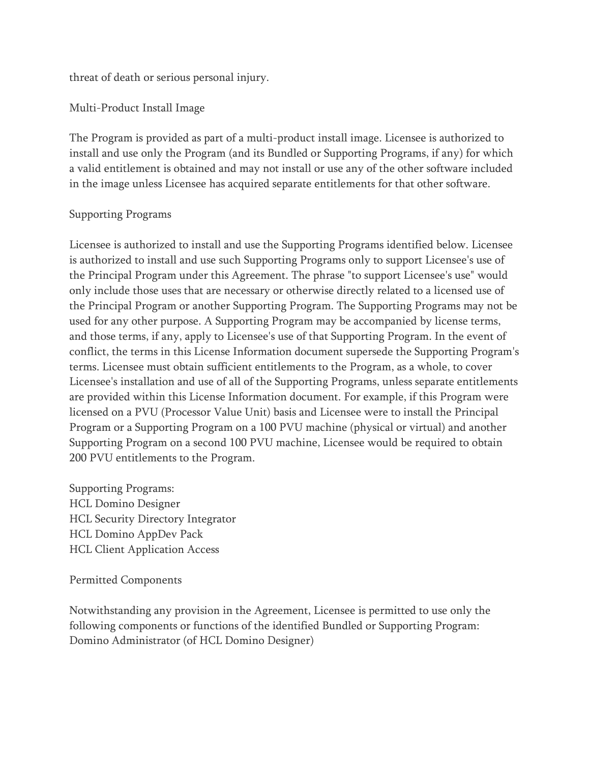threat of death or serious personal injury.

Multi-Product Install Image

The Program is provided as part of a multi-product install image. Licensee is authorized to install and use only the Program (and its Bundled or Supporting Programs, if any) for which a valid entitlement is obtained and may not install or use any of the other software included in the image unless Licensee has acquired separate entitlements for that other software.

### Supporting Programs

Licensee is authorized to install and use the Supporting Programs identified below. Licensee is authorized to install and use such Supporting Programs only to support Licensee's use of the Principal Program under this Agreement. The phrase "to support Licensee's use" would only include those uses that are necessary or otherwise directly related to a licensed use of the Principal Program or another Supporting Program. The Supporting Programs may not be used for any other purpose. A Supporting Program may be accompanied by license terms, and those terms, if any, apply to Licensee's use of that Supporting Program. In the event of conflict, the terms in this License Information document supersede the Supporting Program's terms. Licensee must obtain sufficient entitlements to the Program, as a whole, to cover Licensee's installation and use of all of the Supporting Programs, unless separate entitlements are provided within this License Information document. For example, if this Program were licensed on a PVU (Processor Value Unit) basis and Licensee were to install the Principal Program or a Supporting Program on a 100 PVU machine (physical or virtual) and another Supporting Program on a second 100 PVU machine, Licensee would be required to obtain 200 PVU entitlements to the Program.

Supporting Programs: HCL Domino Designer HCL Security Directory Integrator HCL Domino AppDev Pack HCL Client Application Access

#### Permitted Components

Notwithstanding any provision in the Agreement, Licensee is permitted to use only the following components or functions of the identified Bundled or Supporting Program: Domino Administrator (of HCL Domino Designer)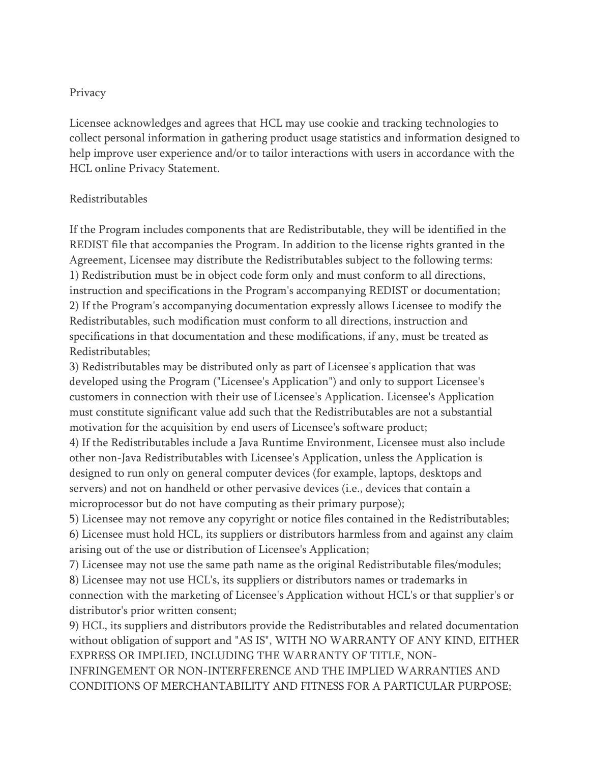### Privacy

Licensee acknowledges and agrees that HCL may use cookie and tracking technologies to collect personal information in gathering product usage statistics and information designed to help improve user experience and/or to tailor interactions with users in accordance with the HCL online Privacy Statement.

### Redistributables

If the Program includes components that are Redistributable, they will be identified in the REDIST file that accompanies the Program. In addition to the license rights granted in the Agreement, Licensee may distribute the Redistributables subject to the following terms: 1) Redistribution must be in object code form only and must conform to all directions, instruction and specifications in the Program's accompanying REDIST or documentation; 2) If the Program's accompanying documentation expressly allows Licensee to modify the Redistributables, such modification must conform to all directions, instruction and specifications in that documentation and these modifications, if any, must be treated as Redistributables;

3) Redistributables may be distributed only as part of Licensee's application that was developed using the Program ("Licensee's Application") and only to support Licensee's customers in connection with their use of Licensee's Application. Licensee's Application must constitute significant value add such that the Redistributables are not a substantial motivation for the acquisition by end users of Licensee's software product;

4) If the Redistributables include a Java Runtime Environment, Licensee must also include other non-Java Redistributables with Licensee's Application, unless the Application is designed to run only on general computer devices (for example, laptops, desktops and servers) and not on handheld or other pervasive devices (i.e., devices that contain a microprocessor but do not have computing as their primary purpose);

5) Licensee may not remove any copyright or notice files contained in the Redistributables; 6) Licensee must hold HCL, its suppliers or distributors harmless from and against any claim arising out of the use or distribution of Licensee's Application;

7) Licensee may not use the same path name as the original Redistributable files/modules; 8) Licensee may not use HCL's, its suppliers or distributors names or trademarks in connection with the marketing of Licensee's Application without HCL's or that supplier's or distributor's prior written consent;

9) HCL, its suppliers and distributors provide the Redistributables and related documentation without obligation of support and "AS IS", WITH NO WARRANTY OF ANY KIND, EITHER EXPRESS OR IMPLIED, INCLUDING THE WARRANTY OF TITLE, NON-

INFRINGEMENT OR NON-INTERFERENCE AND THE IMPLIED WARRANTIES AND CONDITIONS OF MERCHANTABILITY AND FITNESS FOR A PARTICULAR PURPOSE;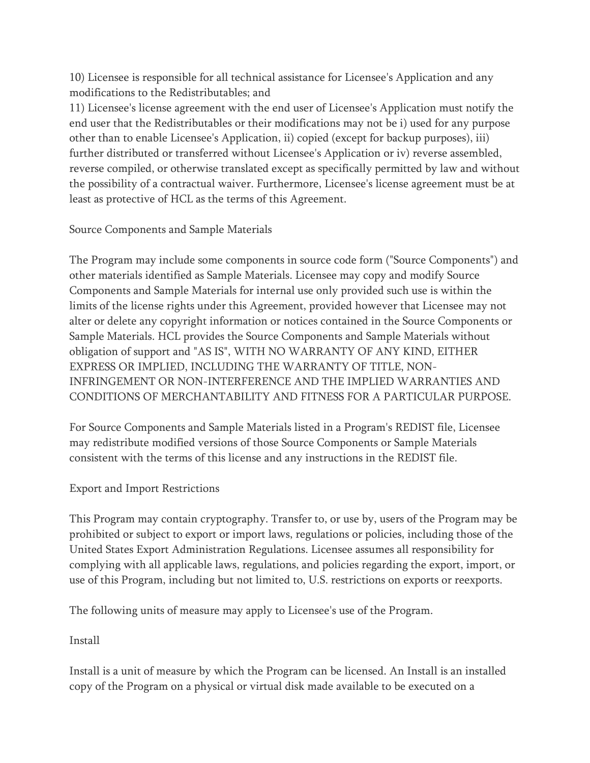10) Licensee is responsible for all technical assistance for Licensee's Application and any modifications to the Redistributables; and

11) Licensee's license agreement with the end user of Licensee's Application must notify the end user that the Redistributables or their modifications may not be i) used for any purpose other than to enable Licensee's Application, ii) copied (except for backup purposes), iii) further distributed or transferred without Licensee's Application or iv) reverse assembled, reverse compiled, or otherwise translated except as specifically permitted by law and without the possibility of a contractual waiver. Furthermore, Licensee's license agreement must be at least as protective of HCL as the terms of this Agreement.

## Source Components and Sample Materials

The Program may include some components in source code form ("Source Components") and other materials identified as Sample Materials. Licensee may copy and modify Source Components and Sample Materials for internal use only provided such use is within the limits of the license rights under this Agreement, provided however that Licensee may not alter or delete any copyright information or notices contained in the Source Components or Sample Materials. HCL provides the Source Components and Sample Materials without obligation of support and "AS IS", WITH NO WARRANTY OF ANY KIND, EITHER EXPRESS OR IMPLIED, INCLUDING THE WARRANTY OF TITLE, NON-INFRINGEMENT OR NON-INTERFERENCE AND THE IMPLIED WARRANTIES AND CONDITIONS OF MERCHANTABILITY AND FITNESS FOR A PARTICULAR PURPOSE.

For Source Components and Sample Materials listed in a Program's REDIST file, Licensee may redistribute modified versions of those Source Components or Sample Materials consistent with the terms of this license and any instructions in the REDIST file.

## Export and Import Restrictions

This Program may contain cryptography. Transfer to, or use by, users of the Program may be prohibited or subject to export or import laws, regulations or policies, including those of the United States Export Administration Regulations. Licensee assumes all responsibility for complying with all applicable laws, regulations, and policies regarding the export, import, or use of this Program, including but not limited to, U.S. restrictions on exports or reexports.

The following units of measure may apply to Licensee's use of the Program.

Install

Install is a unit of measure by which the Program can be licensed. An Install is an installed copy of the Program on a physical or virtual disk made available to be executed on a